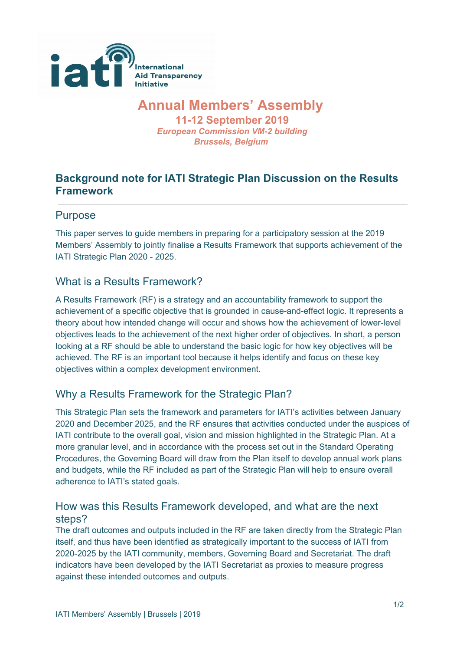

# **Annual Members' Assembly**

**11-12 September 2019** *European Commission VM-2 building Brussels, Belgium*

# **Background note for IATI Strategic Plan Discussion on the Results Framework**

#### Purpose

This paper serves to guide members in preparing for a participatory session at the 2019 Members' Assembly to jointly finalise a Results Framework that supports achievement of the IATI Strategic Plan 2020 - 2025.

#### What is a Results Framework?

A Results Framework (RF) is a strategy and an accountability framework to support the achievement of a specific objective that is grounded in cause-and-effect logic. It represents a theory about how intended change will occur and shows how the achievement of lower-level objectives leads to the achievement of the next higher order of objectives. In short, a person looking at a RF should be able to understand the basic logic for how key objectives will be achieved. The RF is an important tool because it helps identify and focus on these key objectives within a complex development environment.

### Why a Results Framework for the Strategic Plan?

This Strategic Plan sets the framework and parameters for IATI's activities between January 2020 and December 2025, and the RF ensures that activities conducted under the auspices of IATI contribute to the overall goal, vision and mission highlighted in the Strategic Plan. At a more granular level, and in accordance with the process set out in the Standard Operating Procedures, the Governing Board will draw from the Plan itself to develop annual work plans and budgets, while the RF included as part of the Strategic Plan will help to ensure overall adherence to IATI's stated goals.

#### How was this Results Framework developed, and what are the next steps?

The draft outcomes and outputs included in the RF are taken directly from the Strategic Plan itself, and thus have been identified as strategically important to the success of IATI from 2020-2025 by the IATI community, members, Governing Board and Secretariat. The draft indicators have been developed by the IATI Secretariat as proxies to measure progress against these intended outcomes and outputs.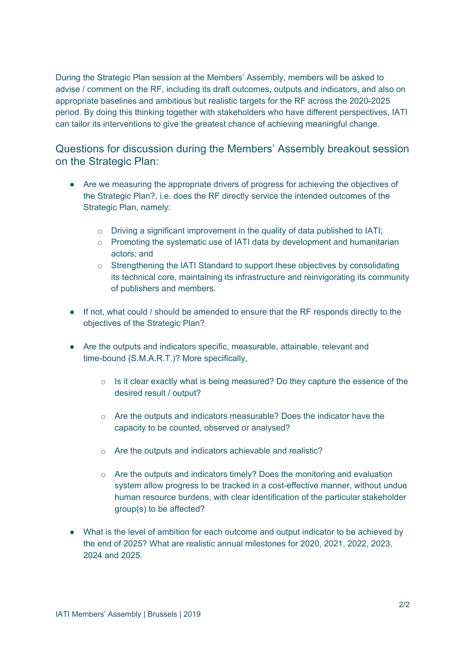During the Strategic Plan session at the Members' Assembly, members will be asked to advise / comment on the RF, including its draft outcomes, outputs and indicators, and also on appropriate baselines and ambitious but realistic targets for the RF across the 2020-2025 period. By doing this thinking together with stakeholders who have different perspectives, IATI can tailor its interventions to give the greatest chance of achieving meaningful change.

Questions for discussion during the Members' Assembly breakout session on the Strategic Plan:

- Are we measuring the appropriate drivers of progress for achieving the objectives of the Strategic Plan?, i.e. does the RF directly service the intended outcomes of the Strategic Plan, namely:
	- o Driving a significant improvement in the quality of data published to IATI;
	- o Promoting the systematic use of IATI data by development and humanitarian actors; and
	- $\circ$  Strengthening the IATI Standard to support these objectives by consolidating its technical core, maintaining its infrastructure and reinvigorating its community of publishers and members.
- If not, what could / should be amended to ensure that the RF responds directly to the objectives of the Strategic Plan?
- Are the outputs and indicators specific, measurable, attainable, relevant and time-bound (S.M.A.R.T.)? More specifically,
	- $\circ$  Is it clear exactly what is being measured? Do they capture the essence of the desired result / output?
	- $\circ$  Are the outputs and indicators measurable? Does the indicator have the capacity to be counted, observed or analysed?
	- o Are the outputs and indicators achievable and realistic?
	- o Are the outputs and indicators timely? Does the monitoring and evaluation system allow progress to be tracked in a cost-effective manner, without undue human resource burdens, with clear identification of the particular stakeholder group(s) to be affected?
- What is the level of ambition for each outcome and output indicator to be achieved by the end of 2025? What are realistic annual milestones for 2020, 2021, 2022, 2023, 2024 and 2025.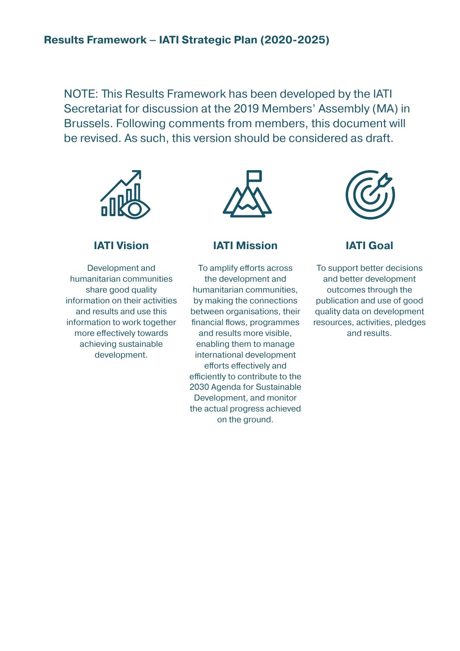NOTE: This Results Framework has been developed by the IATI Secretariat for discussion at the 2019 Members' Assembly (MA) in Brussels. Following comments from members, this document will be revised. As such, this version should be considered as draft.



## **IATI Vision**

Development and humanitarian communities share good quality information on their activities and results and use this information to work together more efectively towards achieving sustainable development.



#### **IATI Mission**

To amplify efforts across the development and humanitarian communities, by making the connections between organisations, their financial flows, programmes and results more visible, enabling them to manage international development efforts effectively and efficiently to contribute to the 2030 Agenda for Sustainable Development, and monitor the actual progress achieved on the ground.



### **IATI Goal**

To support better decisions and better development outcomes through the publication and use of good quality data on development resources, activities, pledges and results.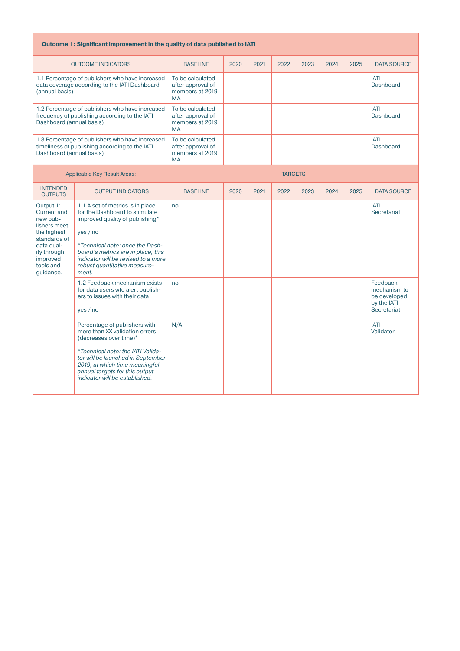| Outcome 1: Significant improvement in the quality of data published to IATI                                                                                   |                                                                                                                                                                                                                                                                           |                                                                       |      |      |                |      |      |      |                                                                        |
|---------------------------------------------------------------------------------------------------------------------------------------------------------------|---------------------------------------------------------------------------------------------------------------------------------------------------------------------------------------------------------------------------------------------------------------------------|-----------------------------------------------------------------------|------|------|----------------|------|------|------|------------------------------------------------------------------------|
| <b>OUTCOME INDICATORS</b>                                                                                                                                     |                                                                                                                                                                                                                                                                           | <b>BASELINE</b>                                                       | 2020 | 2021 | 2022           | 2023 | 2024 | 2025 | <b>DATA SOURCE</b>                                                     |
| 1.1 Percentage of publishers who have increased<br>data coverage according to the IATI Dashboard<br>(annual basis)                                            |                                                                                                                                                                                                                                                                           | To be calculated<br>after approval of<br>members at 2019<br><b>MA</b> |      |      |                |      |      |      | <b>IATI</b><br>Dashboard                                               |
| Dashboard (annual basis)                                                                                                                                      | 1.2 Percentage of publishers who have increased<br>frequency of publishing according to the IATI                                                                                                                                                                          | To be calculated<br>after approval of<br>members at 2019<br><b>MA</b> |      |      |                |      |      |      | <b>IATI</b><br><b>Dashboard</b>                                        |
| Dashboard (annual basis)                                                                                                                                      | 1.3 Percentage of publishers who have increased<br>timeliness of publishing according to the IATI                                                                                                                                                                         | To be calculated<br>after approval of<br>members at 2019<br><b>MA</b> |      |      |                |      |      |      | <b>IATI</b><br>Dashboard                                               |
| <b>Applicable Key Result Areas:</b>                                                                                                                           |                                                                                                                                                                                                                                                                           |                                                                       |      |      | <b>TARGETS</b> |      |      |      |                                                                        |
| <b>INTENDED</b><br><b>OUTPUTS</b>                                                                                                                             | <b>OUTPUT INDICATORS</b>                                                                                                                                                                                                                                                  | <b>BASELINE</b>                                                       | 2020 | 2021 | 2022           | 2023 | 2024 | 2025 | <b>DATA SOURCE</b>                                                     |
| Output 1:<br><b>Current and</b><br>new pub-<br>lishers meet<br>the highest<br>standards of<br>data qual-<br>ity through<br>improved<br>tools and<br>guidance. | 1.1 A set of metrics is in place<br>for the Dashboard to stimulate<br>improved quality of publishing*<br>yes/no<br>*Technical note: once the Dash-<br>board's metrics are in place, this<br>indicator will be revised to a more<br>robust quantitative measure-<br>ment.  | no                                                                    |      |      |                |      |      |      | <b>IATI</b><br>Secretariat                                             |
|                                                                                                                                                               | 1.2 Feedback mechanism exists<br>for data users wto alert publish-<br>ers to issues with their data<br>yes/no                                                                                                                                                             | no                                                                    |      |      |                |      |      |      | Feedback<br>mechanism to<br>be developed<br>by the IATI<br>Secretariat |
|                                                                                                                                                               | Percentage of publishers with<br>more than XX validation errors<br>(decreases over time)*<br>*Technical note: the IATI Valida-<br>tor will be launched in September<br>2019, at which time meaningful<br>annual targets for this output<br>indicator will be established. | N/A                                                                   |      |      |                |      |      |      | <b>IATI</b><br>Validator                                               |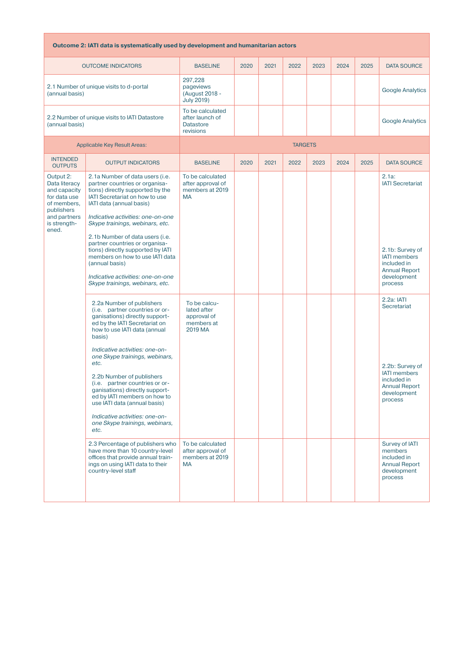| Outcome 2: IATI data is systematically used by development and humanitarian actors |  |  |
|------------------------------------------------------------------------------------|--|--|
|                                                                                    |  |  |

| <b>OUTCOME INDICATORS</b>                                                                                                        |                                                                                                                                                                                                                                                                                                                                                                                                                                                                                                                                                                                                                                                                           | <b>BASELINE</b>                                                                                                                              | 2020 | 2021 | 2022 | 2023 | 2024 | 2025 | <b>DATA SOURCE</b>                                                                                                                                                                                                                      |
|----------------------------------------------------------------------------------------------------------------------------------|---------------------------------------------------------------------------------------------------------------------------------------------------------------------------------------------------------------------------------------------------------------------------------------------------------------------------------------------------------------------------------------------------------------------------------------------------------------------------------------------------------------------------------------------------------------------------------------------------------------------------------------------------------------------------|----------------------------------------------------------------------------------------------------------------------------------------------|------|------|------|------|------|------|-----------------------------------------------------------------------------------------------------------------------------------------------------------------------------------------------------------------------------------------|
| 2.1 Number of unique visits to d-portal<br>(annual basis)                                                                        |                                                                                                                                                                                                                                                                                                                                                                                                                                                                                                                                                                                                                                                                           | 297,228<br>pageviews<br>(August 2018 -<br><b>July 2019)</b>                                                                                  |      |      |      |      |      |      | <b>Google Analytics</b>                                                                                                                                                                                                                 |
| 2.2 Number of unique visits to IATI Datastore<br>(annual basis)                                                                  |                                                                                                                                                                                                                                                                                                                                                                                                                                                                                                                                                                                                                                                                           | To be calculated<br>after launch of<br><b>Datastore</b><br>revisions                                                                         |      |      |      |      |      |      | <b>Google Analytics</b>                                                                                                                                                                                                                 |
|                                                                                                                                  | <b>Applicable Key Result Areas:</b>                                                                                                                                                                                                                                                                                                                                                                                                                                                                                                                                                                                                                                       | <b>TARGETS</b>                                                                                                                               |      |      |      |      |      |      |                                                                                                                                                                                                                                         |
| <b>INTENDED</b><br><b>OUTPUTS</b>                                                                                                | <b>OUTPUT INDICATORS</b>                                                                                                                                                                                                                                                                                                                                                                                                                                                                                                                                                                                                                                                  | <b>BASELINE</b>                                                                                                                              | 2020 | 2021 | 2022 | 2023 | 2024 | 2025 | <b>DATA SOURCE</b>                                                                                                                                                                                                                      |
| Output 2:<br>Data literacy<br>and capacity<br>for data use<br>of members,<br>publishers<br>and partners<br>is strength-<br>ened. | 2.1a Number of data users ( <i>i.e.</i><br>partner countries or organisa-<br>tions) directly supported by the<br>IATI Secretariat on how to use<br>IATI data (annual basis)<br>Indicative activities: one-on-one<br>Skype trainings, webinars, etc.<br>2.1b Number of data users (i.e.<br>partner countries or organisa-<br>tions) directly supported by IATI<br>members on how to use IATI data<br>(annual basis)<br>Indicative activities: one-on-one<br>Skype trainings, webinars, etc.                                                                                                                                                                                | To be calculated<br>after approval of<br>members at 2019<br><b>MA</b>                                                                        |      |      |      |      |      |      | $2.1a$ :<br><b>IATI Secretariat</b><br>2.1b: Survey of<br><b>IATI</b> members<br>included in<br><b>Annual Report</b><br>development<br>process                                                                                          |
|                                                                                                                                  | 2.2a Number of publishers<br>(i.e. partner countries or or-<br>ganisations) directly support-<br>ed by the IATI Secretariat on<br>how to use IATI data (annual<br>basis)<br>Indicative activities: one-on-<br>one Skype trainings, webinars,<br>etc.<br>2.2b Number of publishers<br>(i.e. partner countries or or-<br>ganisations) directly support-<br>ed by IATI members on how to<br>use IATI data (annual basis)<br>Indicative activities: one-on-<br>one Skype trainings, webinars,<br>etc.<br>2.3 Percentage of publishers who<br>have more than 10 country-level<br>offices that provide annual train-<br>ings on using IATI data to their<br>country-level staff | To be calcu-<br>lated after<br>approval of<br>members at<br>2019 MA<br>To be calculated<br>after approval of<br>members at 2019<br><b>MA</b> |      |      |      |      |      |      | $2.2a$ : $ AT $<br>Secretariat<br>2.2b: Survey of<br><b>IATI</b> members<br>included in<br><b>Annual Report</b><br>development<br>process<br>Survey of IATI<br>members<br>included in<br><b>Annual Report</b><br>development<br>process |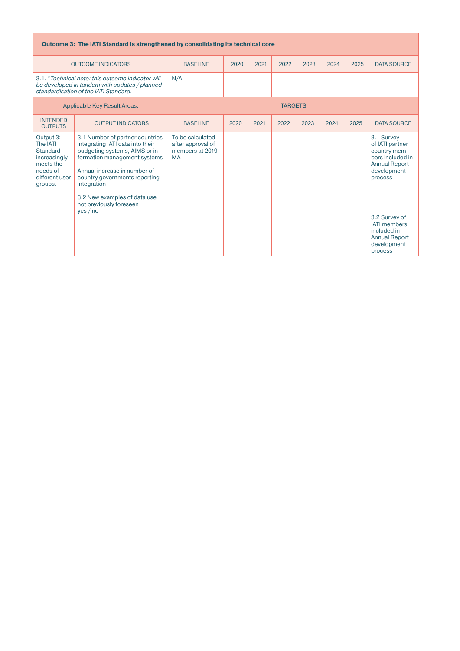| Outcome 3: The IATI Standard is strengthened by consolidating its technical core                                                            |                                                                                                                                                                                                                                                                                              |                                                                       |      |      |                |      |      |      |                                                                                                                                                                                                                              |
|---------------------------------------------------------------------------------------------------------------------------------------------|----------------------------------------------------------------------------------------------------------------------------------------------------------------------------------------------------------------------------------------------------------------------------------------------|-----------------------------------------------------------------------|------|------|----------------|------|------|------|------------------------------------------------------------------------------------------------------------------------------------------------------------------------------------------------------------------------------|
| <b>OUTCOME INDICATORS</b>                                                                                                                   |                                                                                                                                                                                                                                                                                              | <b>BASELINE</b>                                                       | 2020 | 2021 | 2022           | 2023 | 2024 | 2025 | <b>DATA SOURCE</b>                                                                                                                                                                                                           |
| 3.1. *Technical note: this outcome indicator will<br>be developed in tandem with updates / planned<br>standardisation of the IATI Standard. |                                                                                                                                                                                                                                                                                              | N/A                                                                   |      |      |                |      |      |      |                                                                                                                                                                                                                              |
| <b>Applicable Key Result Areas:</b>                                                                                                         |                                                                                                                                                                                                                                                                                              |                                                                       |      |      | <b>TARGETS</b> |      |      |      |                                                                                                                                                                                                                              |
| <b>INTENDED</b><br><b>OUTPUTS</b>                                                                                                           | <b>OUTPUT INDICATORS</b>                                                                                                                                                                                                                                                                     | <b>BASELINE</b>                                                       | 2020 | 2021 | 2022           | 2023 | 2024 | 2025 | <b>DATA SOURCE</b>                                                                                                                                                                                                           |
| Output 3:<br>The IATI<br><b>Standard</b><br>increasingly<br>meets the<br>needs of<br>different user<br>groups.                              | 3.1 Number of partner countries<br>integrating IATI data into their<br>budgeting systems, AIMS or in-<br>formation management systems<br>Annual increase in number of<br>country governments reporting<br>integration<br>3.2 New examples of data use<br>not previously foreseen<br>ves / no | To be calculated<br>after approval of<br>members at 2019<br><b>MA</b> |      |      |                |      |      |      | 3.1 Survey<br>of IATI partner<br>country mem-<br>bers included in<br><b>Annual Report</b><br>development<br>process<br>3.2 Survey of<br><b>IATI</b> members<br>included in<br><b>Annual Report</b><br>development<br>process |